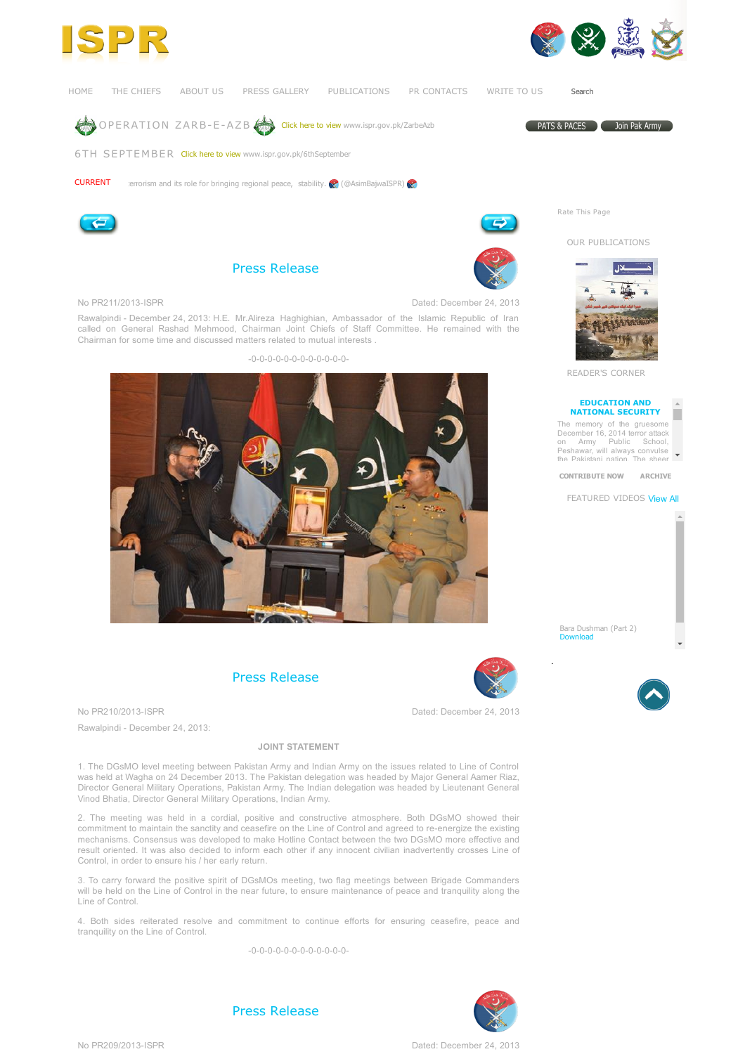





[HOME](https://www.ispr.gov.pk/front/main.asp?o=t-main_page) THE CHIEFS ABOUT US PRESS GALLERY PUBLICATIONS PR CONTACTS [WRITE](https://www.ispr.gov.pk/front/main.asp?o=t-contact_us) TO US

PATS & PACES Coin Pak Army

Search





6TH [SEPTEMBER](https://www.ispr.gov.pk/6thSeptember) Click here to view [www.ispr.gov.pk/6thSeptember](https://www.ispr.gov.pk/6thseptember)



errorism and its role for bringing regional peace, stability.  $\bigotimes$  (@AsimBaiwaISPR)





Press [Release](https://www.ispr.gov.pk/front/main.asp?o=t-press_release&date=2013/12/24#pr_link2442)



No PR211/2013-ISPR Dated: December 24, 2013

Rawalpindi - December 24, 2013: H.E. Mr.Alireza Haghighian, Ambassador of the Islamic Republic of Iran called on General Rashad Mehmood, Chairman Joint Chiefs of Staff Committee. He remained with the Chairman for some time and discussed matters related to mutual interests .





Press [Release](https://www.ispr.gov.pk/front/main.asp?o=t-press_release&date=2013/12/24#pr_link2441)

No PR210/2013-ISPR Dated: December 24, 2013

Rawalpindi - December 24, 2013:

## JOINT STATEMENT

1. The DGsMO level meeting between Pakistan Army and Indian Army on the issues related to Line of Control was held at Wagha on 24 December 2013. The Pakistan delegation was headed by Major General Aamer Riaz, Director General Military Operations, Pakistan Army. The Indian delegation was headed by Lieutenant General Vinod Bhatia, Director General Military Operations, Indian Army.

2. The meeting was held in a cordial, positive and constructive atmosphere. Both DGsMO showed their commitment to maintain the sanctity and ceasefire on the Line of Control and agreed to re-energize the existing mechanisms. Consensus was developed to make Hotline Contact between the two DGsMO more effective and result oriented. It was also decided to inform each other if any innocent civilian inadvertently crosses Line of Control, in order to ensure his / her early return.

3. To carry forward the positive spirit of DGsMOs meeting, two flag meetings between Brigade Commanders will be held on the Line of Control in the near future, to ensure maintenance of peace and tranquility along the Line of Control.

4. Both sides reiterated resolve and commitment to continue efforts for ensuring ceasefire, peace and tranquility on the Line of Control.

 $-0$ -0-0-0-0-0-0-0-0-0-0-0-



Press [Release](https://www.ispr.gov.pk/front/main.asp?o=t-press_release&date=2013/12/24#pr_link2440)

No PR209/2013ISPR Dated: December 24, 2013



Rate This Page



READER'S CORNER

## [EDUCATION](https://www.ispr.gov.pk/front/main.asp?o=t-article&id=132) AND NATIONAL SECURITY

П The memory of the gruesome December 16, 2014 terror attack

on Army Public School, Peshawar, will always convulse the Pakistani nation. The sheer

[CONTRIBUTE](https://www.ispr.gov.pk/front/main.asp?o=contribute) NOW [ARCHIVE](https://www.ispr.gov.pk/front/main.asp?o=t-article&id=69)

FEATURED VIDEOS [View](https://www.ispr.gov.pk/front/main.asp?o=t-media_gallery#video) All

Bara Dushman (Part 2) [Download](https://www.ispr.gov.pk/front/av2/video/Bara-Dushman-Bana-Phirta-Hai-Part-2.mp4)

.